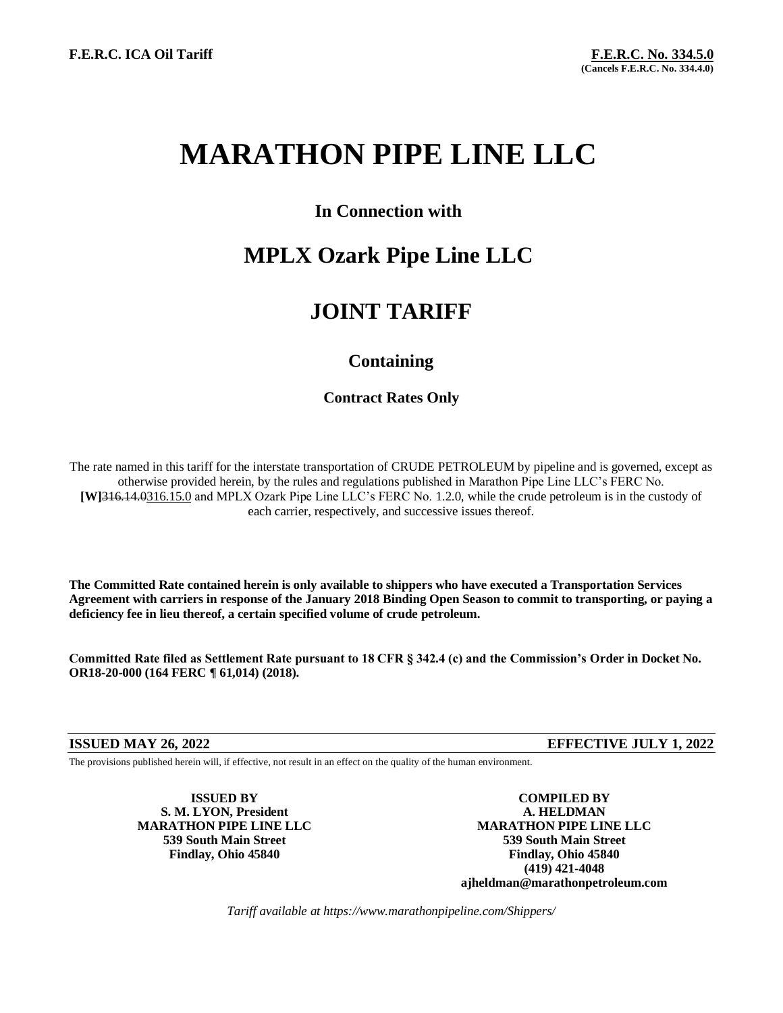# **MARATHON PIPE LINE LLC**

### **In Connection with**

## **MPLX Ozark Pipe Line LLC**

### **JOINT TARIFF**

### **Containing**

### **Contract Rates Only**

The rate named in this tariff for the interstate transportation of CRUDE PETROLEUM by pipeline and is governed, except as otherwise provided herein, by the rules and regulations published in Marathon Pipe Line LLC's FERC No. **[W]**316.14.0316.15.0 and MPLX Ozark Pipe Line LLC's FERC No. 1.2.0, while the crude petroleum is in the custody of each carrier, respectively, and successive issues thereof.

**The Committed Rate contained herein is only available to shippers who have executed a Transportation Services Agreement with carriers in response of the January 2018 Binding Open Season to commit to transporting, or paying a deficiency fee in lieu thereof, a certain specified volume of crude petroleum.** 

**Committed Rate filed as Settlement Rate pursuant to 18 CFR § 342.4 (c) and the Commission's Order in Docket No. OR18-20-000 (164 FERC ¶ 61,014) (2018).**

**ISSUED MAY 26, 2022 EFFECTIVE JULY 1, 2022**

The provisions published herein will, if effective, not result in an effect on the quality of the human environment.

**S. M. LYON, President A. HELDMAN**

**ISSUED BY COMPILED BY MARATHON PIPE LINE LLC MARATHON PIPE LINE LLC 539 South Main Street 539 South Main Street Findlay, Ohio 45840 Findlay, Ohio 45840 (419) 421-4048 ajheldman@marathonpetroleum.com**

*Tariff available at https://www.marathonpipeline.com/Shippers/*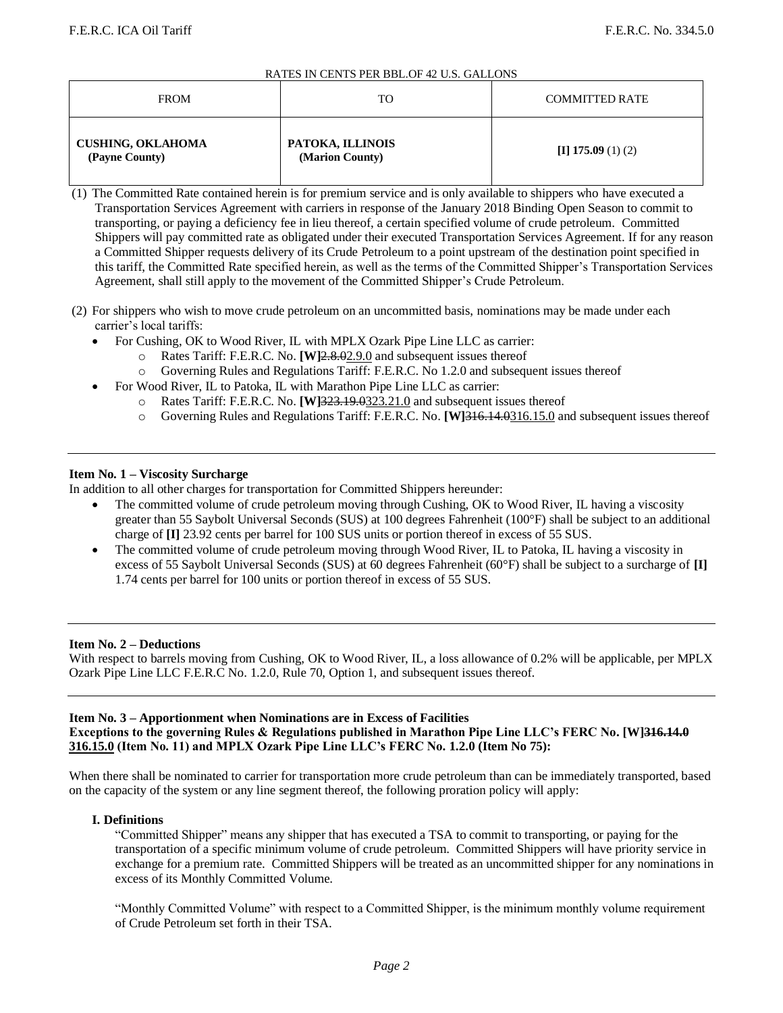#### RATES IN CENTS PER BBL.OF 42 U.S. GALLONS

| <b>FROM</b>                                | TO                                  | <b>COMMITTED RATE</b> |
|--------------------------------------------|-------------------------------------|-----------------------|
| <b>CUSHING, OKLAHOMA</b><br>(Payne County) | PATOKA, ILLINOIS<br>(Marion County) | $\pi$ 175.09 (1) (2)  |

(1) The Committed Rate contained herein is for premium service and is only available to shippers who have executed a Transportation Services Agreement with carriers in response of the January 2018 Binding Open Season to commit to transporting, or paying a deficiency fee in lieu thereof, a certain specified volume of crude petroleum.Committed Shippers will pay committed rate as obligated under their executed Transportation Services Agreement. If for any reason a Committed Shipper requests delivery of its Crude Petroleum to a point upstream of the destination point specified in this tariff, the Committed Rate specified herein, as well as the terms of the Committed Shipper's Transportation Services Agreement, shall still apply to the movement of the Committed Shipper's Crude Petroleum.

- (2) For shippers who wish to move crude petroleum on an uncommitted basis, nominations may be made under each carrier's local tariffs:
	- For Cushing, OK to Wood River, IL with MPLX Ozark Pipe Line LLC as carrier:
		- o Rates Tariff: F.E.R.C. No. **[W]**2.8.02.9.0 and subsequent issues thereof
		- Governing Rules and Regulations Tariff: F.E.R.C. No 1.2.0 and subsequent issues thereof
	- For Wood River, IL to Patoka, IL with Marathon Pipe Line LLC as carrier:
		- o Rates Tariff: F.E.R.C. No. **[W]**323.19.0323.21.0 and subsequent issues thereof
		- o Governing Rules and Regulations Tariff: F.E.R.C. No. **[W]**316.14.0316.15.0 and subsequent issues thereof

#### **Item No. 1 – Viscosity Surcharge**

In addition to all other charges for transportation for Committed Shippers hereunder:

- The committed volume of crude petroleum moving through Cushing, OK to Wood River, IL having a viscosity greater than 55 Saybolt Universal Seconds (SUS) at 100 degrees Fahrenheit (100°F) shall be subject to an additional charge of **[I]** 23.92 cents per barrel for 100 SUS units or portion thereof in excess of 55 SUS.
- The committed volume of crude petroleum moving through Wood River, IL to Patoka, IL having a viscosity in excess of 55 Saybolt Universal Seconds (SUS) at 60 degrees Fahrenheit (60°F) shall be subject to a surcharge of **[I]** 1.74 cents per barrel for 100 units or portion thereof in excess of 55 SUS.

#### **Item No. 2 – Deductions**

With respect to barrels moving from Cushing, OK to Wood River, IL, a loss allowance of 0.2% will be applicable, per MPLX Ozark Pipe Line LLC F.E.R.C No. 1.2.0, Rule 70, Option 1, and subsequent issues thereof.

#### **Item No. 3 – Apportionment when Nominations are in Excess of Facilities Exceptions to the governing Rules & Regulations published in Marathon Pipe Line LLC's FERC No. [W]316.14.0 316.15.0 (Item No. 11) and MPLX Ozark Pipe Line LLC's FERC No. 1.2.0 (Item No 75):**

When there shall be nominated to carrier for transportation more crude petroleum than can be immediately transported, based on the capacity of the system or any line segment thereof, the following proration policy will apply:

#### **I. Definitions**

"Committed Shipper" means any shipper that has executed a TSA to commit to transporting, or paying for the transportation of a specific minimum volume of crude petroleum. Committed Shippers will have priority service in exchange for a premium rate. Committed Shippers will be treated as an uncommitted shipper for any nominations in excess of its Monthly Committed Volume.

"Monthly Committed Volume" with respect to a Committed Shipper, is the minimum monthly volume requirement of Crude Petroleum set forth in their TSA.